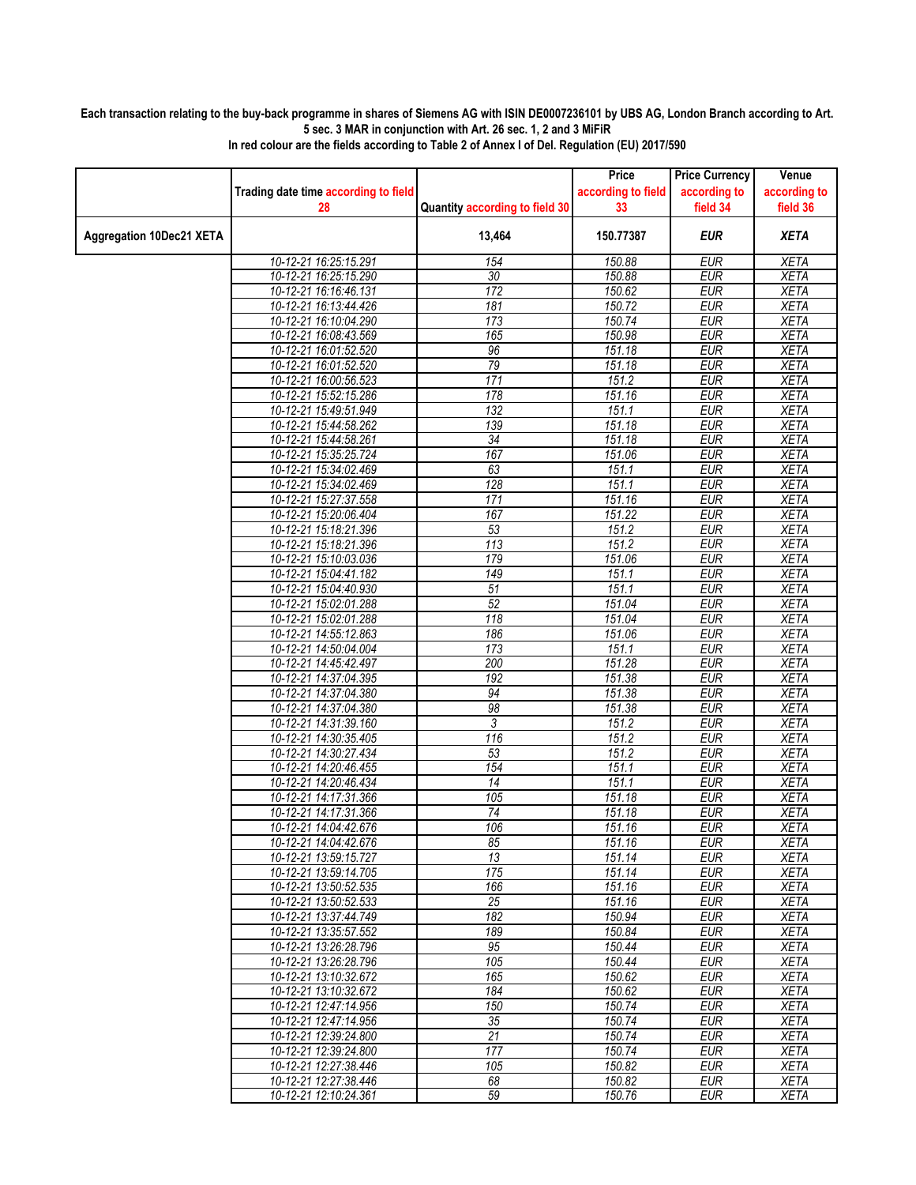## **Each transaction relating to the buy-back programme in shares of Siemens AG with ISIN DE0007236101 by UBS AG, London Branch according to Art. 5 sec. 3 MAR in conjunction with Art. 26 sec. 1, 2 and 3 MiFiR**

|                                 |                                                |                                | Price              | <b>Price Currency</b>    | Venue                      |
|---------------------------------|------------------------------------------------|--------------------------------|--------------------|--------------------------|----------------------------|
|                                 | Trading date time according to field           |                                | according to field | according to             | according to               |
|                                 | 28                                             | Quantity according to field 30 | 33                 | field 34                 | field 36                   |
| <b>Aggregation 10Dec21 XETA</b> |                                                | 13,464                         | 150.77387          | <b>EUR</b>               | <b>XETA</b>                |
|                                 | 10-12-21 16:25:15.291                          | 154                            | 150.88             | <b>EUR</b>               | <b>XETA</b>                |
|                                 | 10-12-21 16:25:15.290                          | 30                             | 150.88             | <b>EUR</b>               | <b>XETA</b>                |
|                                 | 10-12-21 16:16:46.131                          | 172                            | 150.62             | <b>EUR</b>               | <b>XETA</b>                |
|                                 | 10-12-21 16:13:44.426                          | 181                            | 150.72             | <b>EUR</b>               | <b>XETA</b>                |
|                                 | 10-12-21 16:10:04.290                          | 173                            | 150.74             | <b>EUR</b>               | <b>XETA</b>                |
|                                 | 10-12-21 16:08:43.569                          | 165                            | 150.98             | <b>EUR</b>               | <b>XETA</b>                |
|                                 | 10-12-21 16:01:52.520                          | 96                             | 151.18             | <b>EUR</b>               | <b>XETA</b>                |
|                                 | 10-12-21 16:01:52.520                          | 79                             | 151.18             | <b>EUR</b>               | <b>XETA</b>                |
|                                 | 10-12-21 16:00:56.523                          | 171                            | 151.2              | <b>EUR</b>               | <b>XETA</b>                |
|                                 | 10-12-21 15:52:15.286                          | 178                            | 151.16             | <b>EUR</b>               | <b>XETA</b>                |
|                                 | 10-12-21 15:49:51.949                          | 132                            | 151.1              | <b>EUR</b>               | <b>XETA</b>                |
|                                 | 10-12-21 15:44:58.262                          | 139                            | 151.18             | <b>EUR</b>               | <b>XETA</b>                |
|                                 | 10-12-21 15:44:58.261                          | $\overline{34}$                | 151.18             | EUR                      | <b>XETA</b>                |
|                                 | 10-12-21 15:35:25.724<br>10-12-21 15:34:02.469 | 167<br>63                      | 151.06<br>151.1    | <b>EUR</b><br><b>EUR</b> | <b>XETA</b><br><b>XETA</b> |
|                                 | 10-12-21 15:34:02.469                          | 128                            | 151.1              | <b>EUR</b>               | <b>XETA</b>                |
|                                 | 10-12-21 15:27:37.558                          | 171                            | 151.16             | <b>EUR</b>               | <b>XETA</b>                |
|                                 | 10-12-21 15:20:06.404                          | 167                            | 151.22             | <b>EUR</b>               | <b>XETA</b>                |
|                                 | 10-12-21 15:18:21.396                          | 53                             | 151.2              | <b>EUR</b>               | <b>XETA</b>                |
|                                 | 10-12-21 15:18:21.396                          | 113                            | 151.2              | <b>EUR</b>               | <b>XETA</b>                |
|                                 | 10-12-21 15:10:03.036                          | 179                            | 151.06             | <b>EUR</b>               | <b>XETA</b>                |
|                                 | 10-12-21 15:04:41.182                          | 149                            | 151.1              | <b>EUR</b>               | <b>XETA</b>                |
|                                 | 10-12-21 15:04:40.930                          | 51                             | 151.1              | <b>EUR</b>               | <b>XETA</b>                |
|                                 | 10-12-21 15:02:01.288                          | 52                             | 151.04             | <b>EUR</b>               | <b>XETA</b>                |
|                                 | 10-12-21 15:02:01.288                          | 118                            | 151.04             | <b>EUR</b>               | <b>XETA</b>                |
|                                 | 10-12-21 14:55:12.863                          | 186                            | 151.06             | <b>EUR</b>               | <b>XETA</b>                |
|                                 | 10-12-21 14:50:04.004                          | 173                            | 151.1              | <b>EUR</b>               | <b>XETA</b>                |
|                                 | 10-12-21 14:45:42.497                          | 200                            | 151.28             | <b>EUR</b>               | <b>XETA</b>                |
|                                 | 10-12-21 14:37:04.395                          | 192                            | 151.38             | <b>EUR</b>               | <b>XETA</b>                |
|                                 | 10-12-21 14:37:04.380                          | 94                             | 151.38             | <b>EUR</b>               | <b>XETA</b>                |
|                                 | 10-12-21 14:37:04.380                          | 98                             | 151.38             | <b>EUR</b>               | <b>XETA</b>                |
|                                 | 10-12-21 14:31:39.160                          | 3                              | 151.2              | <b>EUR</b>               | <b>XETA</b>                |
|                                 | 10-12-21 14:30:35.405                          | 116                            | 151.2              | <b>EUR</b>               | <b>XETA</b>                |
|                                 | 10-12-21 14:30:27.434                          | 53                             | 151.2              | <b>EUR</b>               | <b>XETA</b>                |
|                                 | 10-12-21 14:20:46.455                          | 154                            | 151.1              | <b>EUR</b>               | <b>XETA</b>                |
|                                 | 10-12-21 14:20:46.434                          | $\overline{14}$                | 151.1              | <b>EUR</b>               | <b>XETA</b>                |
|                                 | 10-12-21 14:17:31.366                          | 105                            | 151.18             | <b>EUR</b>               | <b>XETA</b>                |
|                                 | 10-12-21 14:17:31.366<br>10-12-21 14:04:42.676 | 74<br>106                      | 151.18<br>151.16   | <b>EUR</b><br><b>EUR</b> | <b>XETA</b>                |
|                                 | 10-12-21 14:04:42.676                          | 85                             | 151.16             | <b>EUR</b>               | <b>XETA</b><br>XETA        |
|                                 | 10-12-21 13:59:15.727                          | 13                             | 151.14             | EUR                      | <b>XETA</b>                |
|                                 | 10-12-21 13:59:14.705                          | 175                            | 151.14             | <b>EUR</b>               | <b>XETA</b>                |
|                                 | 10-12-21 13:50:52.535                          | 166                            | 151.16             | EUR                      | XETA                       |
|                                 | 10-12-21 13:50:52.533                          | 25                             | 151.16             | <b>EUR</b>               | <b>XETA</b>                |
|                                 | 10-12-21 13:37:44.749                          | 182                            | 150.94             | <b>EUR</b>               | <b>XETA</b>                |
|                                 | 10-12-21 13:35:57.552                          | 189                            | 150.84             | EUR                      | XETA                       |
|                                 | 10-12-21 13:26:28.796                          | 95                             | 150.44             | <b>EUR</b>               | <b>XETA</b>                |
|                                 | 10-12-21 13:26:28.796                          | 105                            | 150.44             | <b>EUR</b>               | <b>XETA</b>                |
|                                 | 10-12-21 13:10:32.672                          | 165                            | 150.62             | EUR                      | XETA                       |
|                                 | 10-12-21 13:10:32.672                          | 184                            | 150.62             | <b>EUR</b>               | <b>XETA</b>                |
|                                 | 10-12-21 12:47:14.956                          | 150                            | 150.74             | <b>EUR</b>               | <b>XETA</b>                |
|                                 | 10-12-21 12:47:14.956                          | 35                             | 150.74             | <b>EUR</b>               | <b>XETA</b>                |
|                                 | 10-12-21 12:39:24.800                          | 21                             | 150.74             | <b>EUR</b>               | <b>XETA</b>                |
|                                 | 10-12-21 12:39:24.800                          | 177                            | 150.74             | EUR                      | <b>XETA</b>                |
|                                 | 10-12-21 12:27:38.446                          | 105                            | 150.82             | <b>EUR</b>               | XETA                       |
|                                 | 10-12-21 12:27:38.446                          | 68                             | 150.82             | <b>EUR</b>               | XETA                       |
|                                 | 10-12-21 12:10:24.361                          | 59                             | 150.76             | <b>EUR</b>               | XETA                       |

**In red colour are the fields according to Table 2 of Annex I of Del. Regulation (EU) 2017/590**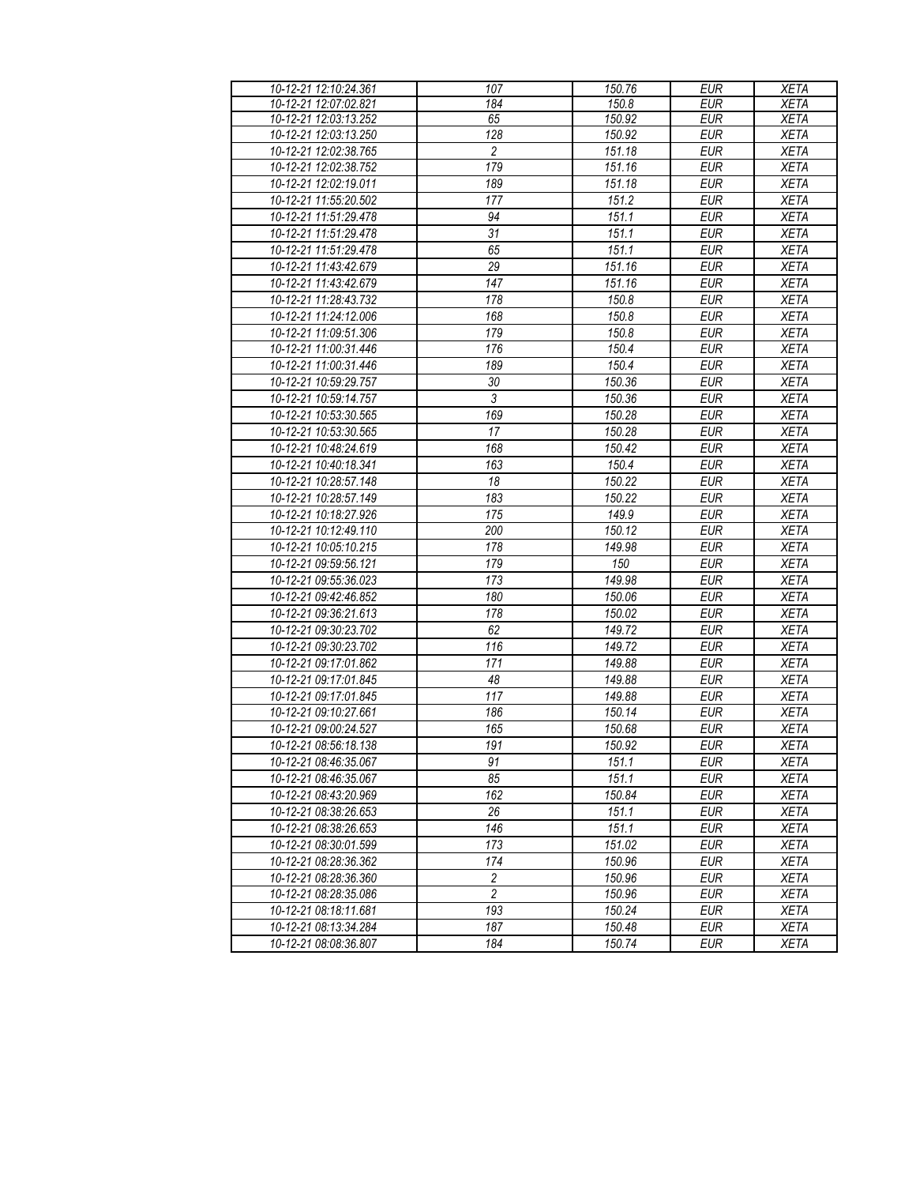| 10-12-21 12:10:24.361 | 107            | 150.76             | <b>EUR</b> | <b>XETA</b> |
|-----------------------|----------------|--------------------|------------|-------------|
| 10-12-21 12:07:02.821 | 184            | 150.8              | <b>EUR</b> | <b>XETA</b> |
| 10-12-21 12:03:13.252 | 65             | 150.92             | <b>EUR</b> | <b>XETA</b> |
| 10-12-21 12:03:13.250 | 128            | 150.92             | <b>EUR</b> | <b>XETA</b> |
| 10-12-21 12:02:38.765 | $\overline{c}$ | 151.18             | <b>EUR</b> | <b>XETA</b> |
| 10-12-21 12:02:38.752 | 179            | 151.16             | <b>EUR</b> | <b>XETA</b> |
| 10-12-21 12:02:19.011 | 189            | 151.18             | <b>EUR</b> | <b>XETA</b> |
| 10-12-21 11:55:20.502 | 177            | 151.2              | <b>EUR</b> | <b>XETA</b> |
| 10-12-21 11:51:29.478 | 94             | 151.1              | <b>EUR</b> | <b>XETA</b> |
| 10-12-21 11:51:29.478 | 31             | 151.1              | <b>EUR</b> | <b>XETA</b> |
| 10-12-21 11:51:29.478 | 65             | 151.1              | <b>EUR</b> | <b>XETA</b> |
| 10-12-21 11:43:42.679 | 29             | 151.16             | <b>EUR</b> | <b>XETA</b> |
| 10-12-21 11:43:42.679 | 147            | 151.16             | <b>EUR</b> | <b>XETA</b> |
| 10-12-21 11:28:43.732 | 178            | 150.8              | <b>EUR</b> | <b>XETA</b> |
| 10-12-21 11:24:12.006 | 168            | 150.8              | <b>EUR</b> | <b>XETA</b> |
| 10-12-21 11:09:51.306 | 179            | 150.8              | <b>EUR</b> | <b>XETA</b> |
| 10-12-21 11:00:31.446 | 176            | 150.4              | <b>EUR</b> | <b>XETA</b> |
| 10-12-21 11:00:31.446 | 189            | 150.4              | <b>EUR</b> | <b>XETA</b> |
| 10-12-21 10:59:29.757 | 30             | 150.36             | <b>EUR</b> | <b>XETA</b> |
| 10-12-21 10:59:14.757 | $\mathfrak{Z}$ | 150.36             | <b>EUR</b> | <b>XETA</b> |
| 10-12-21 10:53:30.565 | 169            | 150.28             | <b>EUR</b> | <b>XETA</b> |
| 10-12-21 10:53:30.565 | 17             | 150.28             | <b>EUR</b> | <b>XETA</b> |
| 10-12-21 10:48:24.619 | 168            | 150.42             | <b>EUR</b> | <b>XETA</b> |
| 10-12-21 10:40:18.341 | 163            | $\overline{150.4}$ | <b>EUR</b> | <b>XETA</b> |
| 10-12-21 10:28:57.148 | 18             | 150.22             | <b>EUR</b> | <b>XETA</b> |
| 10-12-21 10:28:57.149 | 183            | 150.22             | <b>EUR</b> | <b>XETA</b> |
| 10-12-21 10:18:27.926 | 175            | 149.9              | <b>EUR</b> | <b>XETA</b> |
| 10-12-21 10:12:49.110 | 200            | 150.12             | <b>EUR</b> | <b>XETA</b> |
| 10-12-21 10:05:10.215 | 178            | 149.98             | <b>EUR</b> | <b>XETA</b> |
| 10-12-21 09:59:56.121 | 179            | 150                | <b>EUR</b> | <b>XETA</b> |
| 10-12-21 09:55:36.023 | 173            | 149.98             | <b>EUR</b> | <b>XETA</b> |
| 10-12-21 09:42:46.852 | 180            | 150.06             | <b>EUR</b> | <b>XETA</b> |
| 10-12-21 09:36:21.613 | 178            | 150.02             | <b>EUR</b> | <b>XETA</b> |
| 10-12-21 09:30:23.702 | 62             | 149.72             | <b>EUR</b> | <b>XETA</b> |
| 10-12-21 09:30:23.702 | 116            | 149.72             | <b>EUR</b> | <b>XETA</b> |
| 10-12-21 09:17:01.862 | 171            | 149.88             | <b>EUR</b> | <b>XETA</b> |
| 10-12-21 09:17:01.845 | 48             | 149.88             | <b>EUR</b> | <b>XETA</b> |
| 10-12-21 09:17:01.845 | 117            | 149.88             | <b>EUR</b> | <b>XETA</b> |
| 10-12-21 09:10:27.661 | 186            | 150.14             | <b>EUR</b> | <b>XETA</b> |
| 10-12-21 09:00:24.527 | 165            | 150.68             | <b>EUR</b> | <b>XETA</b> |
| 10-12-21 08:56:18.138 | 191            | 150.92             | <b>EUR</b> | <b>XETA</b> |
| 10-12-21 08:46:35.067 | 91             | 151.1              | <b>EUR</b> | <b>XETA</b> |
| 10-12-21 08:46:35.067 | 85             | 151.1              | <b>EUR</b> | <b>XETA</b> |
| 10-12-21 08:43:20.969 | 162            | 150.84             | EUR        | <b>XETA</b> |
| 10-12-21 08:38:26.653 | 26             | 151.1              | <b>EUR</b> | <b>XETA</b> |
| 10-12-21 08:38:26.653 | 146            | 151.1              | <b>EUR</b> | <b>XETA</b> |
| 10-12-21 08:30:01.599 | 173            | 151.02             | <b>EUR</b> | <b>XETA</b> |
| 10-12-21 08:28:36.362 | 174            | 150.96             | <b>EUR</b> | <b>XETA</b> |
| 10-12-21 08:28:36.360 | 2              | 150.96             | <b>EUR</b> | <b>XETA</b> |
| 10-12-21 08:28:35.086 | $\overline{2}$ | 150.96             | <b>EUR</b> | <b>XETA</b> |
| 10-12-21 08:18:11.681 | 193            | 150.24             | <b>EUR</b> | <b>XETA</b> |
| 10-12-21 08:13:34.284 | 187            | 150.48             | <b>EUR</b> | <b>XETA</b> |
| 10-12-21 08:08:36.807 | 184            | 150.74             | EUR        | XETA        |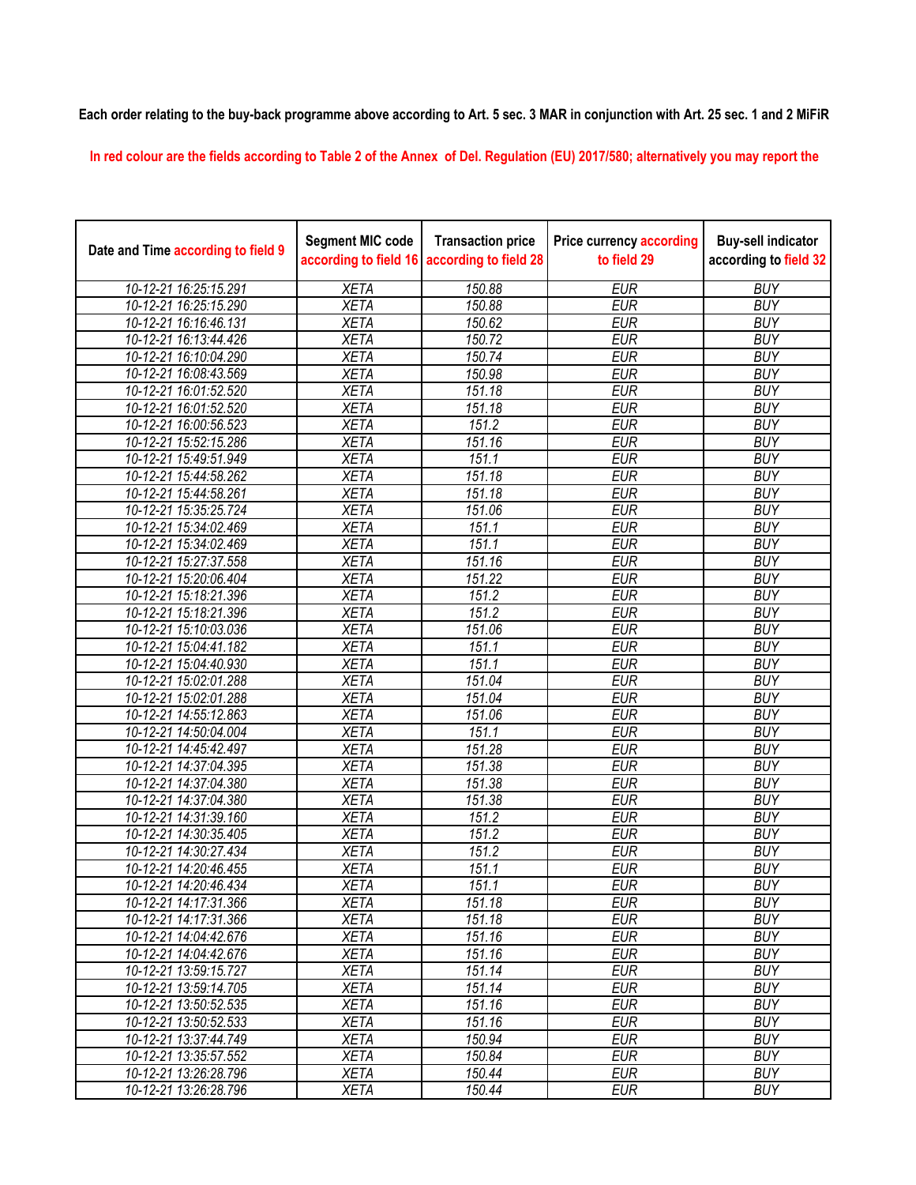**Each order relating to the buy-back programme above according to Art. 5 sec. 3 MAR in conjunction with Art. 25 sec. 1 and 2 MiFiR** 

**In red colour are the fields according to Table 2 of the Annex of Del. Regulation (EU) 2017/580; alternatively you may report the** 

| Date and Time according to field 9 | <b>Segment MIC code</b><br>according to field 16 | <b>Transaction price</b><br>according to field 28 | <b>Price currency according</b><br>to field 29 | <b>Buy-sell indicator</b><br>according to field 32 |
|------------------------------------|--------------------------------------------------|---------------------------------------------------|------------------------------------------------|----------------------------------------------------|
| 10-12-21 16:25:15.291              | <b>XETA</b>                                      | 150.88                                            | <b>EUR</b>                                     | <b>BUY</b>                                         |
| 10-12-21 16:25:15.290              | <b>XETA</b>                                      | 150.88                                            | <b>EUR</b>                                     | <b>BUY</b>                                         |
| 10-12-21 16:16:46.131              | <b>XETA</b>                                      | 150.62                                            | <b>EUR</b>                                     | <b>BUY</b>                                         |
| 10-12-21 16:13:44.426              | <b>XETA</b>                                      | 150.72                                            | <b>EUR</b>                                     | <b>BUY</b>                                         |
| 10-12-21 16:10:04.290              | <b>XETA</b>                                      | 150.74                                            | <b>EUR</b>                                     | <b>BUY</b>                                         |
| 10-12-21 16:08:43.569              | <b>XETA</b>                                      | 150.98                                            | <b>EUR</b>                                     | <b>BUY</b>                                         |
| 10-12-21 16:01:52.520              | <b>XETA</b>                                      | 151.18                                            | <b>EUR</b>                                     | <b>BUY</b>                                         |
| 10-12-21 16:01:52.520              | <b>XETA</b>                                      | 151.18                                            | <b>EUR</b>                                     | <b>BUY</b>                                         |
| 10-12-21 16:00:56.523              | <b>XETA</b>                                      | 151.2                                             | <b>EUR</b>                                     | <b>BUY</b>                                         |
| 10-12-21 15:52:15.286              | <b>XETA</b>                                      | 151.16                                            | <b>EUR</b>                                     | <b>BUY</b>                                         |
| 10-12-21 15:49:51.949              | <b>XETA</b>                                      | 151.1                                             | <b>EUR</b>                                     | <b>BUY</b>                                         |
| 10-12-21 15:44:58.262              | <b>XETA</b>                                      | 151.18                                            | <b>EUR</b>                                     | <b>BUY</b>                                         |
| 10-12-21 15:44:58.261              | <b>XETA</b>                                      | 151.18                                            | <b>EUR</b>                                     | <b>BUY</b>                                         |
| 10-12-21 15:35:25.724              | <b>XETA</b>                                      | 151.06                                            | <b>EUR</b>                                     | <b>BUY</b>                                         |
| 10-12-21 15:34:02.469              | <b>XETA</b>                                      | 151.1                                             | <b>EUR</b>                                     | <b>BUY</b>                                         |
| 10-12-21 15:34:02.469              | <b>XETA</b>                                      | 151.1                                             | <b>EUR</b>                                     | <b>BUY</b>                                         |
| 10-12-21 15:27:37.558              | <b>XETA</b>                                      | 151.16                                            | <b>EUR</b>                                     | <b>BUY</b>                                         |
| 10-12-21 15:20:06.404              | <b>XETA</b>                                      | 151.22                                            | <b>EUR</b>                                     | <b>BUY</b>                                         |
| 10-12-21 15:18:21.396              | <b>XETA</b>                                      | 151.2                                             | <b>EUR</b>                                     | <b>BUY</b>                                         |
| 10-12-21 15:18:21.396              | <b>XETA</b>                                      | 151.2                                             | <b>EUR</b>                                     | <b>BUY</b>                                         |
| 10-12-21 15:10:03.036              | <b>XETA</b>                                      | 151.06                                            | <b>EUR</b>                                     | <b>BUY</b>                                         |
| 10-12-21 15:04:41.182              | <b>XETA</b>                                      | 151.1                                             | <b>EUR</b>                                     | <b>BUY</b>                                         |
| 10-12-21 15:04:40.930              | <b>XETA</b>                                      | 151.1                                             | <b>EUR</b>                                     | <b>BUY</b>                                         |
| 10-12-21 15:02:01.288              | <b>XETA</b>                                      | 151.04                                            | <b>EUR</b>                                     | <b>BUY</b>                                         |
| 10-12-21 15:02:01.288              | <b>XETA</b>                                      | 151.04                                            | <b>EUR</b>                                     | <b>BUY</b>                                         |
| 10-12-21 14:55:12.863              | <b>XETA</b>                                      | 151.06                                            | <b>EUR</b>                                     | <b>BUY</b>                                         |
| 10-12-21 14:50:04.004              | <b>XETA</b>                                      | 151.1                                             | <b>EUR</b>                                     | <b>BUY</b>                                         |
| 10-12-21 14:45:42.497              | <b>XETA</b>                                      | 151.28                                            | <b>EUR</b>                                     | <b>BUY</b>                                         |
| 10-12-21 14:37:04.395              | <b>XETA</b>                                      | 151.38                                            | <b>EUR</b>                                     | <b>BUY</b>                                         |
| 10-12-21 14:37:04.380              | <b>XETA</b>                                      | 151.38                                            | <b>EUR</b>                                     | <b>BUY</b>                                         |
| 10-12-21 14:37:04.380              | <b>XETA</b>                                      | 151.38                                            | <b>EUR</b>                                     | <b>BUY</b>                                         |
| 10-12-21 14:31:39.160              | <b>XETA</b>                                      | 151.2                                             | <b>EUR</b>                                     | <b>BUY</b>                                         |
| 10-12-21 14:30:35.405              | <b>XETA</b>                                      | 151.2                                             | <b>EUR</b>                                     | <b>BUY</b>                                         |
| 10-12-21 14:30:27.434              | <b>XETA</b>                                      | 151.2                                             | <b>EUR</b>                                     | <b>BUY</b>                                         |
| 10-12-21 14:20:46.455              | <b>XETA</b>                                      | 151.1                                             | <b>EUR</b>                                     | <b>BUY</b>                                         |
| 10-12-21 14:20:46.434              | <b>XETA</b>                                      | 151.1                                             | <b>EUR</b>                                     | <b>BUY</b>                                         |
| 10-12-21 14:17:31.366              | <b>XETA</b>                                      | 151.18                                            | <b>EUR</b>                                     | <b>BUY</b>                                         |
| 10-12-21 14:17:31.366              | <b>XETA</b>                                      | 151.18                                            | <b>EUR</b>                                     | <b>BUY</b>                                         |
| 10-12-21 14:04:42.676              | <b>XETA</b>                                      | 151.16                                            | <b>EUR</b>                                     | <b>BUY</b>                                         |
| 10-12-21 14:04:42.676              | <b>XETA</b>                                      | 151.16                                            | <b>EUR</b>                                     | <b>BUY</b>                                         |
| 10-12-21 13:59:15.727              | <b>XETA</b>                                      | 151.14                                            | <b>EUR</b>                                     | <b>BUY</b>                                         |
| 10-12-21 13:59:14.705              | <b>XETA</b>                                      | 151.14                                            | <b>EUR</b>                                     | <b>BUY</b>                                         |
| 10-12-21 13:50:52.535              | <b>XETA</b>                                      | 151.16                                            | <b>EUR</b>                                     | <b>BUY</b>                                         |
| 10-12-21 13:50:52.533              | <b>XETA</b>                                      | 151.16                                            | <b>EUR</b>                                     | <b>BUY</b>                                         |
| 10-12-21 13:37:44.749              | <b>XETA</b>                                      | 150.94                                            | <b>EUR</b>                                     | <b>BUY</b>                                         |
| 10-12-21 13:35:57.552              | <b>XETA</b>                                      | 150.84                                            | <b>EUR</b>                                     | <b>BUY</b>                                         |
| 10-12-21 13:26:28.796              | <b>XETA</b>                                      | 150.44                                            | <b>EUR</b>                                     | <b>BUY</b>                                         |
| 10-12-21 13:26:28.796              | <b>XETA</b>                                      | 150.44                                            | <b>EUR</b>                                     | <b>BUY</b>                                         |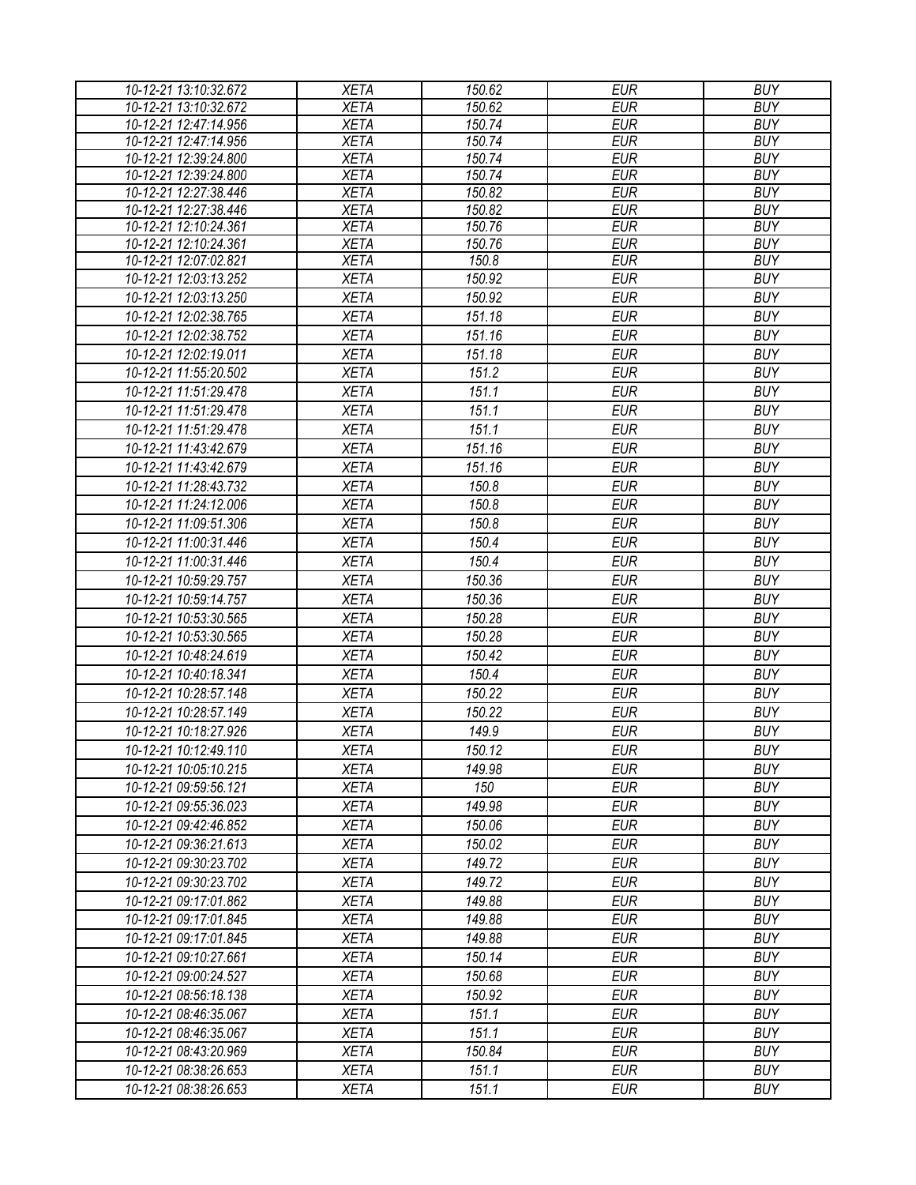| 10-12-21 13:10:32.672                          | <b>XETA</b>                | $\overline{150.62}$ | <b>EUR</b>               | <b>BUY</b>               |
|------------------------------------------------|----------------------------|---------------------|--------------------------|--------------------------|
| 10-12-21 13:10:32.672                          | <b>XETA</b>                | 150.62              | <b>EUR</b>               | <b>BUY</b>               |
| 10-12-21 12:47:14.956                          | <b>XETA</b>                | 150.74              | <b>EUR</b>               | <b>BUY</b>               |
| 10-12-21 12:47:14.956                          | <b>XETA</b>                | 150.74              | <b>EUR</b>               | <b>BUY</b>               |
| 10-12-21 12:39:24.800                          | <b>XETA</b>                | 150.74              | <b>EUR</b>               | <b>BUY</b>               |
| 10-12-21 12:39:24.800                          | <b>XETA</b>                | 150.74              | <b>EUR</b>               | <b>BUY</b>               |
| 10-12-21 12:27:38.446                          | <b>XETA</b>                | 150.82              | <b>EUR</b>               | <b>BUY</b>               |
| 10-12-21 12:27:38.446                          | <b>XETA</b>                | 150.82              | <b>EUR</b>               | <b>BUY</b>               |
| 10-12-21 12:10:24.361                          | <b>XETA</b>                | 150.76              | <b>EUR</b>               | <b>BUY</b>               |
| 10-12-21 12:10:24.361                          | <b>XETA</b><br><b>XETA</b> | 150.76<br>150.8     | <b>EUR</b><br><b>EUR</b> | <b>BUY</b><br><b>BUY</b> |
| 10-12-21 12:07:02.821<br>10-12-21 12:03:13.252 | <b>XETA</b>                | 150.92              | <b>EUR</b>               | <b>BUY</b>               |
| 10-12-21 12:03:13.250                          |                            | 150.92              |                          | <b>BUY</b>               |
|                                                | <b>XETA</b>                |                     | <b>EUR</b>               |                          |
| 10-12-21 12:02:38.765                          | <b>XETA</b>                | 151.18              | <b>EUR</b>               | <b>BUY</b>               |
| 10-12-21 12:02:38.752                          | <b>XETA</b>                | 151.16              | <b>EUR</b>               | <b>BUY</b>               |
| 10-12-21 12:02:19.011                          | <b>XETA</b>                | 151.18              | <b>EUR</b>               | <b>BUY</b>               |
| 10-12-21 11:55:20.502                          | <b>XETA</b>                | 151.2               | <b>EUR</b>               | <b>BUY</b>               |
| 10-12-21 11:51:29.478                          | <b>XETA</b>                | 151.1               | <b>EUR</b>               | <b>BUY</b>               |
| 10-12-21 11:51:29.478                          | <b>XETA</b>                | 151.1               | <b>EUR</b>               | <b>BUY</b>               |
| 10-12-21 11:51:29.478                          | <b>XETA</b>                | 151.1               | <b>EUR</b>               | <b>BUY</b>               |
| 10-12-21 11:43:42.679                          | <b>XETA</b>                | 151.16              | <b>EUR</b>               | <b>BUY</b>               |
| 10-12-21 11:43:42.679                          | <b>XETA</b>                | 151.16              | <b>EUR</b>               | <b>BUY</b>               |
| 10-12-21 11:28:43.732                          | <b>XETA</b>                | 150.8               | <b>EUR</b>               | <b>BUY</b>               |
| 10-12-21 11:24:12.006                          | <b>XETA</b>                | 150.8               | <b>EUR</b>               | <b>BUY</b>               |
| 10-12-21 11:09:51.306                          | <b>XETA</b>                | 150.8               | <b>EUR</b>               | <b>BUY</b>               |
| 10-12-21 11:00:31.446                          | <b>XETA</b>                | 150.4               | <b>EUR</b>               | <b>BUY</b>               |
| 10-12-21 11:00:31.446                          | <b>XETA</b>                | 150.4               | <b>EUR</b>               | <b>BUY</b>               |
| 10-12-21 10:59:29.757                          | <b>XETA</b>                | 150.36              | <b>EUR</b>               | <b>BUY</b>               |
| 10-12-21 10:59:14.757                          | <b>XETA</b>                | 150.36              | <b>EUR</b>               | <b>BUY</b>               |
| 10-12-21 10:53:30.565                          | <b>XETA</b>                | 150.28              | <b>EUR</b>               | <b>BUY</b>               |
| 10-12-21 10:53:30.565                          | <b>XETA</b>                | 150.28              | <b>EUR</b>               | <b>BUY</b>               |
| 10-12-21 10:48:24.619                          | <b>XETA</b>                | 150.42              | <b>EUR</b>               | <b>BUY</b>               |
| 10-12-21 10:40:18.341                          | <b>XETA</b>                | 150.4               | <b>EUR</b>               | <b>BUY</b>               |
| 10-12-21 10:28:57.148                          | <b>XETA</b>                | 150.22              | <b>EUR</b>               | <b>BUY</b>               |
| 10-12-21 10:28:57.149                          | <b>XETA</b>                | 150.22              | <b>EUR</b>               | <b>BUY</b>               |
| 10-12-21 10:18:27.926                          | <b>XETA</b>                | 149.9               | <b>EUR</b>               | <b>BUY</b>               |
|                                                |                            |                     |                          | <b>BUY</b>               |
| 10-12-21 10:12:49.110                          | <b>XETA</b>                | 150.12              | <b>EUR</b>               |                          |
| 10-12-21 10:05:10.215                          | <b>XETA</b>                | 149.98              | <b>EUR</b>               | <b>BUY</b>               |
| 10-12-21 09:59:56.121                          | <b>XETA</b>                | 150                 | <b>EUR</b>               | <b>BUY</b>               |
| 10-12-21 09:55:36.023                          | <b>XETA</b>                | 149.98              | <b>EUR</b>               | <b>BUY</b>               |
| 10-12-21 09:42:46.852                          | <b>XETA</b>                | 150.06              | <b>EUR</b>               | <b>BUY</b>               |
| 10-12-21 09:36:21.613                          | <b>XETA</b>                | 150.02              | <b>EUR</b>               | <b>BUY</b>               |
| 10-12-21 09:30:23.702                          | <b>XETA</b>                | 149.72              | <b>EUR</b>               | <b>BUY</b>               |
| 10-12-21 09:30:23.702                          | <b>XETA</b>                | 149.72              | EUR                      | <b>BUY</b>               |
| 10-12-21 09:17:01.862                          | <b>XETA</b>                | 149.88              | <b>EUR</b>               | <b>BUY</b>               |
| 10-12-21 09:17:01.845                          | <b>XETA</b>                | 149.88              | <b>EUR</b>               | <b>BUY</b>               |
| 10-12-21 09:17:01.845                          | <b>XETA</b>                | 149.88              | <b>EUR</b>               | <b>BUY</b>               |
| 10-12-21 09:10:27.661                          | <b>XETA</b>                | 150.14              | <b>EUR</b>               | <b>BUY</b>               |
| 10-12-21 09:00:24.527                          | <b>XETA</b>                | 150.68              | <b>EUR</b>               | <b>BUY</b>               |
| 10-12-21 08:56:18.138                          | <b>XETA</b>                | 150.92              | <b>EUR</b>               | <b>BUY</b>               |
| 10-12-21 08:46:35.067                          | <b>XETA</b>                | 151.1               | <b>EUR</b>               | <b>BUY</b>               |
| 10-12-21 08:46:35.067                          | <b>XETA</b>                | 151.1               | <b>EUR</b>               | <b>BUY</b>               |
| 10-12-21 08:43:20.969                          | <b>XETA</b>                | 150.84              | <b>EUR</b>               | <b>BUY</b>               |
| 10-12-21 08:38:26.653                          | <b>XETA</b>                | 151.1               | EUR                      | <b>BUY</b>               |
| 10-12-21 08:38:26.653                          | <b>XETA</b>                | 151.1               | <b>EUR</b>               | <b>BUY</b>               |